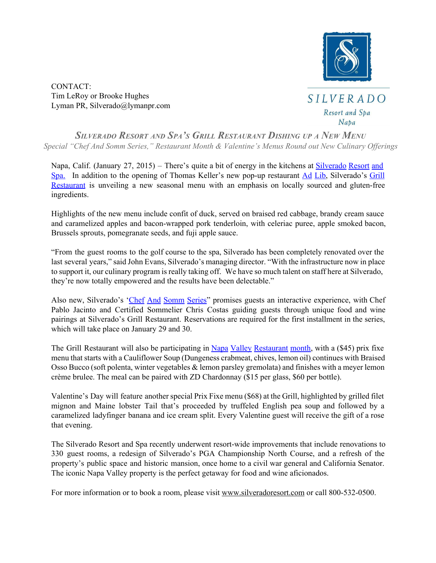

CONTACT: Tim LeRoy or Brooke Hughes Lyman PR, Silverado@lymanpr.com



*SILVERADO RESORT AND SPA'<sup>S</sup> GRILL RESTAURANT DISHING UP <sup>A</sup> NEW MENU Special "Chef And Somm Series," Restaurant Month & Valentine's Menus Round out New Culinary Of erings*

Napa, Calif. (January 27, 2015) – There's quite a bit of energy in the kitchens at Silverado Resort and Spa. In addition to the opening of Thomas Keller's new pop-up restaurant Ad [Lib,](http://www.google.com/url?q=http%3A%2F%2Fwww.thomaskeller.com%2Fad-lib&sa=D&sntz=1&usg=AFQjCNEv6rtUSsYtQeB24Tp57-PHSx42JQ) Silverado's [Grill](https://www.google.com/url?q=https%3A%2F%2Fwww.silveradoresort.com%2Fdining%2Fthe-grill%2F&sa=D&sntz=1&usg=AFQjCNGPLEcCVoZiVPDqKEkqq3zSDrOgow) [Restaurant](https://www.google.com/url?q=https%3A%2F%2Fwww.silveradoresort.com%2Fdining%2Fthe-grill%2F&sa=D&sntz=1&usg=AFQjCNGPLEcCVoZiVPDqKEkqq3zSDrOgow) is unveiling a new seasonal menu with an emphasis on locally sourced and gluten-free ingredients.

Highlights of the new menu include confit of duck, served on braised red cabbage, brandy cream sauce and caramelized apples and bacon-wrapped pork tenderloin, with celeriac puree, apple smoked bacon, Brussels sprouts, pomegranate seeds, and fuji apple sauce.

"From the guest rooms to the golf course to the spa, Silverado has been completely renovated over the last several years," said John Evans, Silverado's managing director. "With the infrastructure now in place to support it, our culinary program is really taking off. We have so much talent on staff here at Silverado, they're now totally empowered and the results have been delectable."

Also new, Silverado's 'Chef And [Somm](https://drive.google.com/file/d/0B2rpFV4EI0_fc0E4UEcwWUQ4TEE/view) Series'' promises guests an interactive experience, with Chef Pablo Jacinto and Certified Sommelier Chris Costas guiding guests through unique food and wine pairings at Silverado's Grill Restaurant. Reservations are required for the first installment in the series, which will take place on January 29 and 30.

The Grill [Restaurant](http://www.google.com/url?q=http%3A%2F%2Fwww.visitnapavalley.com%2Fnapa_valley_restaurant_month.htm&sa=D&sntz=1&usg=AFQjCNEQtkr724ddhLa4sBvwWrSoppp4PQ) will also be participating in Napa Valley Restaurant month, with a (\$45) prix fixe menu that starts with a Cauliflower Soup (Dungeness crabmeat, chives, lemon oil) continues with Braised Osso Bucco (soft polenta, winter vegetables & lemon parsley gremolata) and finishes with a meyer lemon crème brulee. The meal can be paired with ZD Chardonnay (\$15 per glass, \$60 per bottle).

Valentine's Day will feature another special Prix Fixe menu (\$68) at the Grill, highlighted by grilled filet mignon and Maine lobster Tail that's proceeded by truffeled English pea soup and followed by a caramelized ladyfinger banana and ice cream split. Every Valentine guest will receive the gift of a rose that evening.

The Silverado Resort and Spa recently underwent resortwide improvements that include renovations to 330 guest rooms, a redesign of Silverado's PGA Championship North Course, and a refresh of the property's public space and historic mansion, once home to a civil war general and California Senator. The iconic Napa Valley property is the perfect getaway for food and wine aficionados.

For more information or to book a room, please visit [www.silveradoresort.com](http://www.google.com/url?q=http%3A%2F%2Fwww.silveradoresort.com&sa=D&sntz=1&usg=AFQjCNEk3kGvRT-P8107y46Q0qT394ZF2Q) or call 800-532-0500.